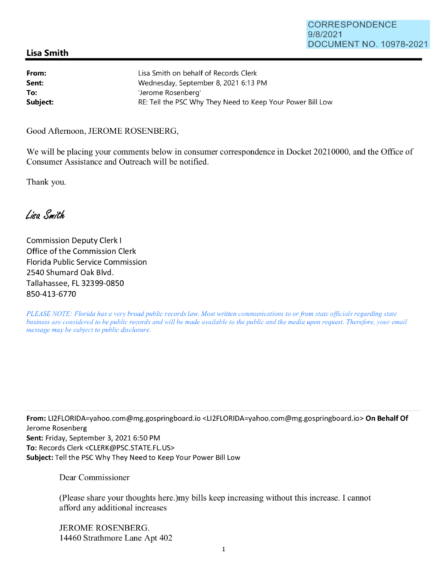## **Lisa Smith**

| From:    | Lisa Smith on behalf of Records Clerk                      |
|----------|------------------------------------------------------------|
| Sent:    | Wednesday, September 8, 2021 6:13 PM                       |
| To:      | 'Jerome Rosenberg'                                         |
| Subject: | RE: Tell the PSC Why They Need to Keep Your Power Bill Low |

Good Afternoon, JEROME ROSENBERG,

We will be placing your comments below in consumer correspondence in Docket 20210000, and the Office of Consumer Assistance and Outreach will be notified.

Thank you.

Lisa Smith

Commission Deputy Clerk I Office of the Commission Clerk Florida Public Service Commission 2540 Shumard Oak Blvd. Tallahassee, FL 32399-0850 850-413-6770

*PLEASE NOTE: Florida has a very broad public records law. Most written communications to or from state officials regarding state business are considered to be public records and will be made available to the public and the media upon request. Therefore, your email message may be subject to public disclosure.* 

**From:** Ll2FLORIDA=yahoo.com@mg.gospringboard.io <Ll2FLORIDA=yahoo.com@mg.gospringboard.io> **On Behalf Of**  Jerome Rosenberg **Sent:** Friday, September 3, 2021 6:50 PM **To:** Records Clerk <CLERK@PSC.STATE.FL.US> **Subject:** Tell the PSC Why They Need to Keep Your Power Bill Low

Dear Commissioner

(Please share your thoughts here.)my bills keep increasing without this increase. I cannot afford any additional increases

JEROME ROSENBERG. 14460 Strathmore Lane Apt 402